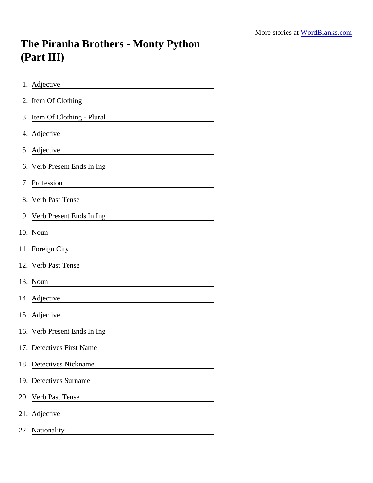## The Piranha Brothers - Monty Python (Part III)

| 1. Adjective                                                                 |
|------------------------------------------------------------------------------|
| 2. Item Of Clothing<br><u> 1989 - Johann Stein, Amerikaansk politiker (</u>  |
| 3. Item Of Clothing - Plural                                                 |
| 4. Adjective                                                                 |
| 5. Adjective<br><u> 1989 - Johann Barn, mars ann an t-Amhair an t-A</u>      |
| 6. Verb Present Ends In Ing<br><u> 1980 - Andrea Andrew Maria (h. 1980).</u> |
| 7. Profession                                                                |
| 8. Verb Past Tense                                                           |
| 9. Verb Present Ends In Ing                                                  |
| 10. Noun                                                                     |
| 11. Foreign City<br><u> 1980 - Johann Barbara, martxa amerikan p</u>         |
| 12. Verb Past Tense                                                          |
| 13. Noun<br><u> 1980 - Johann Stoff, fransk politik (d. 1980)</u>            |
| 14. Adjective                                                                |
| 15. Adjective                                                                |
| 16. Verb Present Ends In Ing                                                 |
| 17. Detectives First Name                                                    |
| 18. Detectives Nickname                                                      |
| 19. Detectives Surname                                                       |
| 20. Verb Past Tense                                                          |
| 21. Adjective                                                                |
| 22. Nationality                                                              |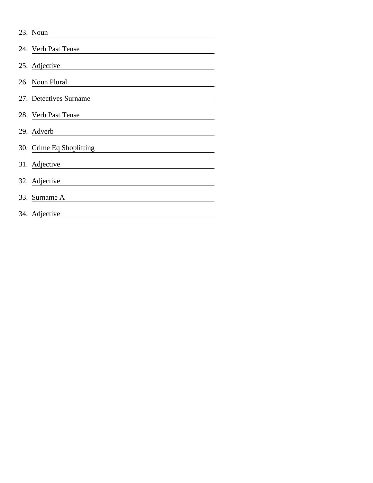| 23. Noun                 |
|--------------------------|
| 24. Verb Past Tense      |
| 25. Adjective            |
| 26. Noun Plural          |
| 27. Detectives Surname   |
| 28. Verb Past Tense      |
| 29. Adverb               |
| 30. Crime Eq Shoplifting |
| 31. Adjective            |
| 32. Adjective            |
| 33. Surname A            |
| 34. Adjective            |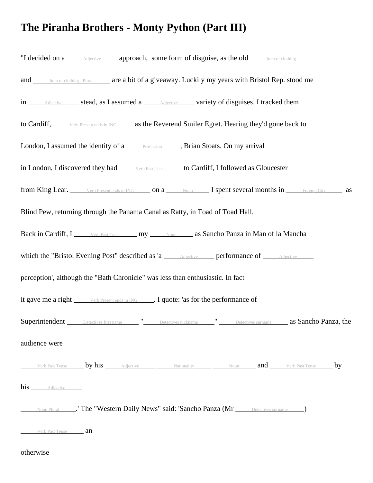## **The Piranha Brothers - Monty Python (Part III)**

| "I decided on a <u>Adjective</u> approach, some form of disguise, as the old <b>I are all of clothing</b>                                                                                     |
|-----------------------------------------------------------------------------------------------------------------------------------------------------------------------------------------------|
| and Item of clothing - Plural are a bit of a giveaway. Luckily my years with Bristol Rep. stood me                                                                                            |
| in <u>Adjective</u> stead, as I assumed a <b>Adjective</b> variety of disguises. I tracked them                                                                                               |
| to Cardiff, <u>verb Present ends in ING</u> as the Reverend Smiler Egret. Hearing they'd gone back to                                                                                         |
| London, I assumed the identity of a <b>FROPISSION</b> Research, Brian Stoats. On my arrival                                                                                                   |
| in London, I discovered they had verb Past Tense to Cardiff, I followed as Gloucester                                                                                                         |
| from King Lear. Verb Present ends in ING on a Noun I spent several months in Foreign City as                                                                                                  |
| Blind Pew, returning through the Panama Canal as Ratty, in Toad of Toad Hall.                                                                                                                 |
| Back in Cardiff, I Verb Past Tense my Noum as Sancho Panza in Man of la Mancha                                                                                                                |
| which the "Bristol Evening Post" described as 'a <u>Adjective</u> performance of <u>Adjective</u>                                                                                             |
| perception', although the "Bath Chronicle" was less than enthusiastic. In fact                                                                                                                |
| it gave me a right verb Present ends in ING . I quote: 'as for the performance of                                                                                                             |
|                                                                                                                                                                                               |
| audience were                                                                                                                                                                                 |
| Verb Past Tense <b>by his</b> $\qquad \qquad$ Adjective $\qquad \qquad$ Nationality $\qquad \qquad$ Noun $\qquad \qquad$ <b>and</b> $\qquad \qquad$ Verb Past Tense $\qquad \qquad$ <b>by</b> |
| his <b>Adjective</b>                                                                                                                                                                          |
| Noun Plural ______.' The "Western Daily News" said: 'Sancho Panza (Mr _____ Detectives surname _____)                                                                                         |
| Verb Past Tense <b>an</b>                                                                                                                                                                     |

## otherwise